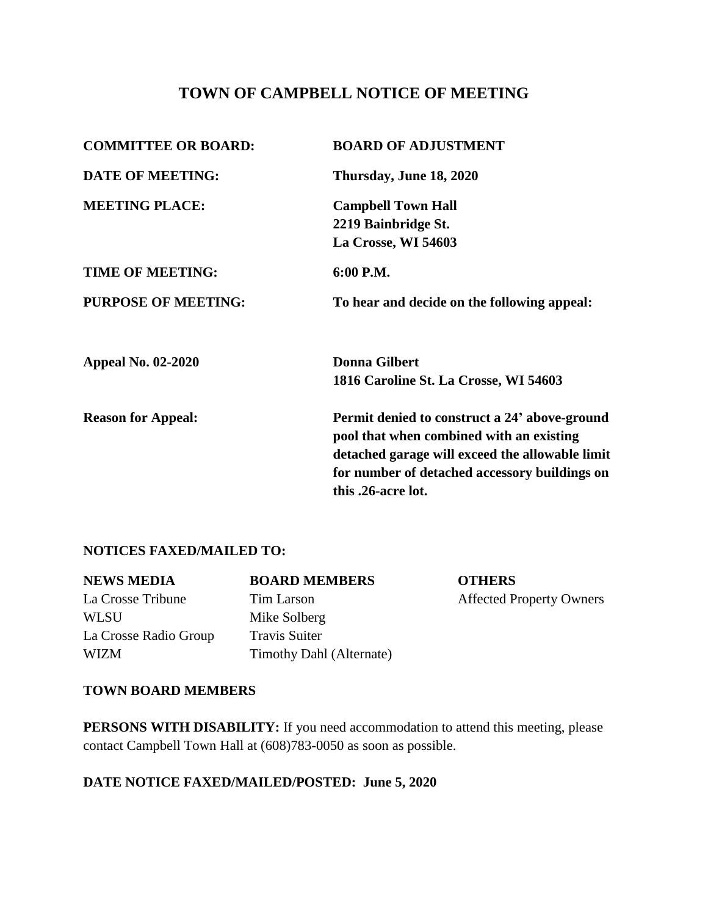# **TOWN OF CAMPBELL NOTICE OF MEETING**

| <b>COMMITTEE OR BOARD:</b> | <b>BOARD OF ADJUSTMENT</b>                      |  |
|----------------------------|-------------------------------------------------|--|
| <b>DATE OF MEETING:</b>    | Thursday, June 18, 2020                         |  |
| <b>MEETING PLACE:</b>      | <b>Campbell Town Hall</b>                       |  |
|                            | 2219 Bainbridge St.                             |  |
|                            | La Crosse, WI 54603                             |  |
| <b>TIME OF MEETING:</b>    | 6:00 P.M.                                       |  |
| <b>PURPOSE OF MEETING:</b> | To hear and decide on the following appeal:     |  |
| <b>Appeal No. 02-2020</b>  | <b>Donna Gilbert</b>                            |  |
|                            | 1816 Caroline St. La Crosse, WI 54603           |  |
| <b>Reason for Appeal:</b>  | Permit denied to construct a 24' above-ground   |  |
|                            | pool that when combined with an existing        |  |
|                            | detached garage will exceed the allowable limit |  |
|                            | for number of detached accessory buildings on   |  |
|                            | this .26-acre lot.                              |  |
|                            |                                                 |  |

### **NOTICES FAXED/MAILED TO:**

| <b>NEWS MEDIA</b>     | <b>BOARD MEMBERS</b>     | <b>OTHERS</b>                   |
|-----------------------|--------------------------|---------------------------------|
| La Crosse Tribune     | Tim Larson               | <b>Affected Property Owners</b> |
| <b>WLSU</b>           | Mike Solberg             |                                 |
| La Crosse Radio Group | <b>Travis Suiter</b>     |                                 |
| <b>WIZM</b>           | Timothy Dahl (Alternate) |                                 |

#### **TOWN BOARD MEMBERS**

**PERSONS WITH DISABILITY:** If you need accommodation to attend this meeting, please contact Campbell Town Hall at (608)783-0050 as soon as possible.

# **DATE NOTICE FAXED/MAILED/POSTED: June 5, 2020**